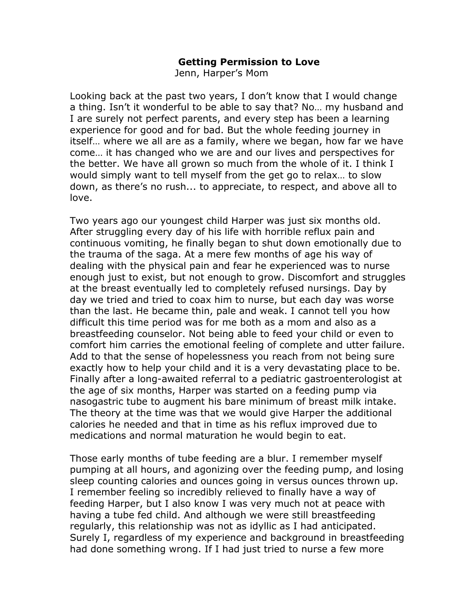## **Getting Permission to Love**

Jenn, Harper's Mom

Looking back at the past two years, I don't know that I would change a thing. Isn't it wonderful to be able to say that? No… my husband and I are surely not perfect parents, and every step has been a learning experience for good and for bad. But the whole feeding journey in itself… where we all are as a family, where we began, how far we have come… it has changed who we are and our lives and perspectives for the better. We have all grown so much from the whole of it. I think I would simply want to tell myself from the get go to relax… to slow down, as there's no rush... to appreciate, to respect, and above all to love.

Two years ago our youngest child Harper was just six months old. After struggling every day of his life with horrible reflux pain and continuous vomiting, he finally began to shut down emotionally due to the trauma of the saga. At a mere few months of age his way of dealing with the physical pain and fear he experienced was to nurse enough just to exist, but not enough to grow. Discomfort and struggles at the breast eventually led to completely refused nursings. Day by day we tried and tried to coax him to nurse, but each day was worse than the last. He became thin, pale and weak. I cannot tell you how difficult this time period was for me both as a mom and also as a breastfeeding counselor. Not being able to feed your child or even to comfort him carries the emotional feeling of complete and utter failure. Add to that the sense of hopelessness you reach from not being sure exactly how to help your child and it is a very devastating place to be. Finally after a long-awaited referral to a pediatric gastroenterologist at the age of six months, Harper was started on a feeding pump via nasogastric tube to augment his bare minimum of breast milk intake. The theory at the time was that we would give Harper the additional calories he needed and that in time as his reflux improved due to medications and normal maturation he would begin to eat.

Those early months of tube feeding are a blur. I remember myself pumping at all hours, and agonizing over the feeding pump, and losing sleep counting calories and ounces going in versus ounces thrown up. I remember feeling so incredibly relieved to finally have a way of feeding Harper, but I also know I was very much not at peace with having a tube fed child. And although we were still breastfeeding regularly, this relationship was not as idyllic as I had anticipated. Surely I, regardless of my experience and background in breastfeeding had done something wrong. If I had just tried to nurse a few more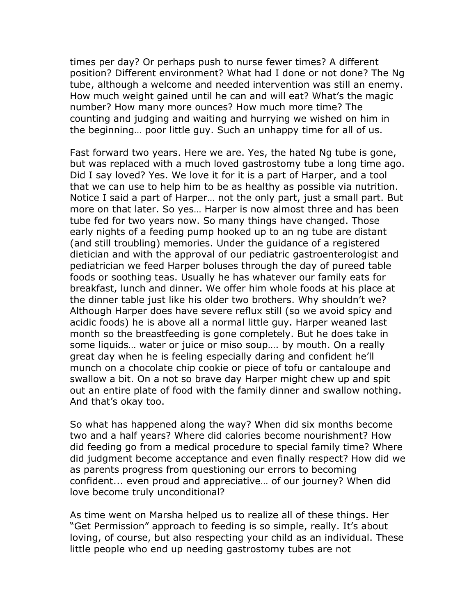times per day? Or perhaps push to nurse fewer times? A different position? Different environment? What had I done or not done? The Ng tube, although a welcome and needed intervention was still an enemy. How much weight gained until he can and will eat? What's the magic number? How many more ounces? How much more time? The counting and judging and waiting and hurrying we wished on him in the beginning… poor little guy. Such an unhappy time for all of us.

Fast forward two years. Here we are. Yes, the hated Ng tube is gone, but was replaced with a much loved gastrostomy tube a long time ago. Did I say loved? Yes. We love it for it is a part of Harper, and a tool that we can use to help him to be as healthy as possible via nutrition. Notice I said a part of Harper… not the only part, just a small part. But more on that later. So yes… Harper is now almost three and has been tube fed for two years now. So many things have changed. Those early nights of a feeding pump hooked up to an ng tube are distant (and still troubling) memories. Under the guidance of a registered dietician and with the approval of our pediatric gastroenterologist and pediatrician we feed Harper boluses through the day of pureed table foods or soothing teas. Usually he has whatever our family eats for breakfast, lunch and dinner. We offer him whole foods at his place at the dinner table just like his older two brothers. Why shouldn't we? Although Harper does have severe reflux still (so we avoid spicy and acidic foods) he is above all a normal little guy. Harper weaned last month so the breastfeeding is gone completely. But he does take in some liquids… water or juice or miso soup…. by mouth. On a really great day when he is feeling especially daring and confident he'll munch on a chocolate chip cookie or piece of tofu or cantaloupe and swallow a bit. On a not so brave day Harper might chew up and spit out an entire plate of food with the family dinner and swallow nothing. And that's okay too.

So what has happened along the way? When did six months become two and a half years? Where did calories become nourishment? How did feeding go from a medical procedure to special family time? Where did judgment become acceptance and even finally respect? How did we as parents progress from questioning our errors to becoming confident... even proud and appreciative… of our journey? When did love become truly unconditional?

As time went on Marsha helped us to realize all of these things. Her "Get Permission" approach to feeding is so simple, really. It's about loving, of course, but also respecting your child as an individual. These little people who end up needing gastrostomy tubes are not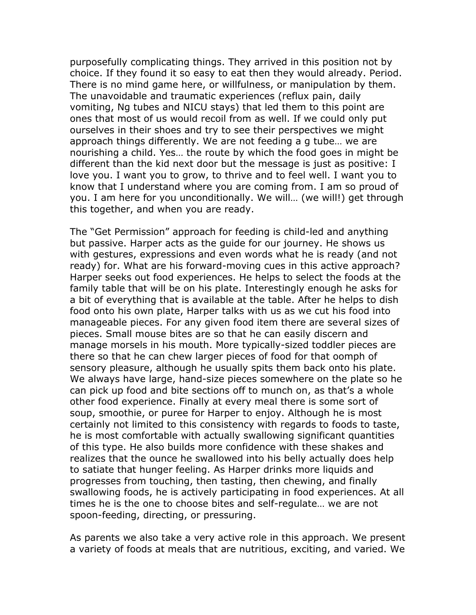purposefully complicating things. They arrived in this position not by choice. If they found it so easy to eat then they would already. Period. There is no mind game here, or willfulness, or manipulation by them. The unavoidable and traumatic experiences (reflux pain, daily vomiting, Ng tubes and NICU stays) that led them to this point are ones that most of us would recoil from as well. If we could only put ourselves in their shoes and try to see their perspectives we might approach things differently. We are not feeding a g tube… we are nourishing a child. Yes… the route by which the food goes in might be different than the kid next door but the message is just as positive: I love you. I want you to grow, to thrive and to feel well. I want you to know that I understand where you are coming from. I am so proud of you. I am here for you unconditionally. We will… (we will!) get through this together, and when you are ready.

The "Get Permission" approach for feeding is child-led and anything but passive. Harper acts as the guide for our journey. He shows us with gestures, expressions and even words what he is ready (and not ready) for. What are his forward-moving cues in this active approach? Harper seeks out food experiences. He helps to select the foods at the family table that will be on his plate. Interestingly enough he asks for a bit of everything that is available at the table. After he helps to dish food onto his own plate, Harper talks with us as we cut his food into manageable pieces. For any given food item there are several sizes of pieces. Small mouse bites are so that he can easily discern and manage morsels in his mouth. More typically-sized toddler pieces are there so that he can chew larger pieces of food for that oomph of sensory pleasure, although he usually spits them back onto his plate. We always have large, hand-size pieces somewhere on the plate so he can pick up food and bite sections off to munch on, as that's a whole other food experience. Finally at every meal there is some sort of soup, smoothie, or puree for Harper to enjoy. Although he is most certainly not limited to this consistency with regards to foods to taste, he is most comfortable with actually swallowing significant quantities of this type. He also builds more confidence with these shakes and realizes that the ounce he swallowed into his belly actually does help to satiate that hunger feeling. As Harper drinks more liquids and progresses from touching, then tasting, then chewing, and finally swallowing foods, he is actively participating in food experiences. At all times he is the one to choose bites and self-regulate… we are not spoon-feeding, directing, or pressuring.

As parents we also take a very active role in this approach. We present a variety of foods at meals that are nutritious, exciting, and varied. We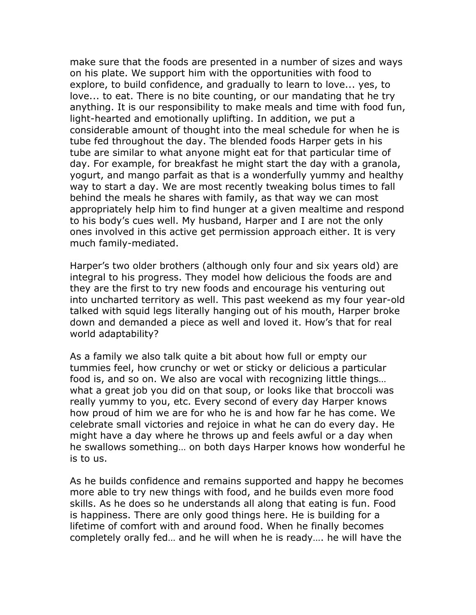make sure that the foods are presented in a number of sizes and ways on his plate. We support him with the opportunities with food to explore, to build confidence, and gradually to learn to love... yes, to love... to eat. There is no bite counting, or our mandating that he try anything. It is our responsibility to make meals and time with food fun, light-hearted and emotionally uplifting. In addition, we put a considerable amount of thought into the meal schedule for when he is tube fed throughout the day. The blended foods Harper gets in his tube are similar to what anyone might eat for that particular time of day. For example, for breakfast he might start the day with a granola, yogurt, and mango parfait as that is a wonderfully yummy and healthy way to start a day. We are most recently tweaking bolus times to fall behind the meals he shares with family, as that way we can most appropriately help him to find hunger at a given mealtime and respond to his body's cues well. My husband, Harper and I are not the only ones involved in this active get permission approach either. It is very much family-mediated.

Harper's two older brothers (although only four and six years old) are integral to his progress. They model how delicious the foods are and they are the first to try new foods and encourage his venturing out into uncharted territory as well. This past weekend as my four year-old talked with squid legs literally hanging out of his mouth, Harper broke down and demanded a piece as well and loved it. How's that for real world adaptability?

As a family we also talk quite a bit about how full or empty our tummies feel, how crunchy or wet or sticky or delicious a particular food is, and so on. We also are vocal with recognizing little things… what a great job you did on that soup, or looks like that broccoli was really yummy to you, etc. Every second of every day Harper knows how proud of him we are for who he is and how far he has come. We celebrate small victories and rejoice in what he can do every day. He might have a day where he throws up and feels awful or a day when he swallows something… on both days Harper knows how wonderful he is to us.

As he builds confidence and remains supported and happy he becomes more able to try new things with food, and he builds even more food skills. As he does so he understands all along that eating is fun. Food is happiness. There are only good things here. He is building for a lifetime of comfort with and around food. When he finally becomes completely orally fed… and he will when he is ready…. he will have the